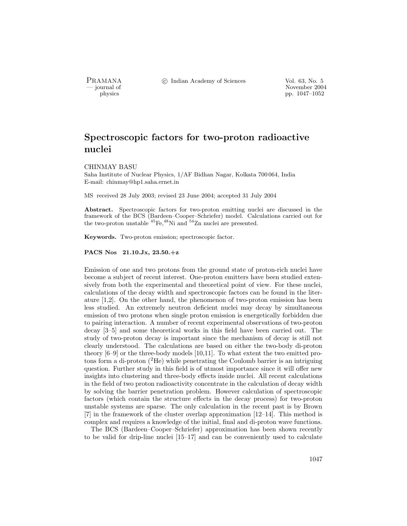PRAMANA °<sup>c</sup> Indian Academy of Sciences Vol. 63, No. 5

purnal of November 2004<br>
pp. 1047–1052 pp. 1047–1052

# Spectroscopic factors for two-proton radioactive nuclei

CHINMAY BASU

Saha Institute of Nuclear Physics, 1/AF Bidhan Nagar, Kolkata 700 064, India E-mail: chinmay@hp1.saha.ernet.in

MS received 28 July 2003; revised 23 June 2004; accepted 31 July 2004

Abstract. Spectroscopic factors for two-proton emitting nuclei are discussed in the framework of the BCS (Bardeen–Cooper–Schriefer) model. Calculations carried out for the two-proton unstable  ${}^{45}Fe, {}^{48}Ni$  and  ${}^{54}Zn$  nuclei are presented.

Keywords. Two-proton emission; spectroscopic factor.

PACS Nos 21.10.Jx, 23.50.+z

Emission of one and two protons from the ground state of proton-rich nuclei have become a subject of recent interest. One-proton emitters have been studied extensively from both the experimental and theoretical point of view. For these nuclei, calculations of the decay width and spectroscopic factors can be found in the literature [1,2]. On the other hand, the phenomenon of two-proton emission has been less studied. An extremely neutron deficient nuclei may decay by simultaneous emission of two protons when single proton emission is energetically forbidden due to pairing interaction. A number of recent experimental observations of two-proton decay [3–5] and some theoretical works in this field have been carried out. The study of two-proton decay is important since the mechanism of decay is still not clearly understood. The calculations are based on either the two-body di-proton theory [6–9] or the three-body models [10,11]. To what extent the two emitted protons form a di-proton  $(^{2}He)$  while penetrating the Coulomb barrier is an intriguing question. Further study in this field is of utmost importance since it will offer new insights into clustering and three-body effects inside nuclei. All recent calculations in the field of two proton radioactivity concentrate in the calculation of decay width by solving the barrier penetration problem. However calculation of spectroscopic factors (which contain the structure effects in the decay process) for two-proton unstable systems are sparse. The only calculation in the recent past is by Brown [7] in the framework of the cluster overlap approximation [12–14]. This method is complex and requires a knowledge of the initial, final and di-proton wave functions.

The BCS (Bardeen–Cooper–Schriefer) approximation has been shown recently to be valid for drip-line nuclei [15–17] and can be conveniently used to calculate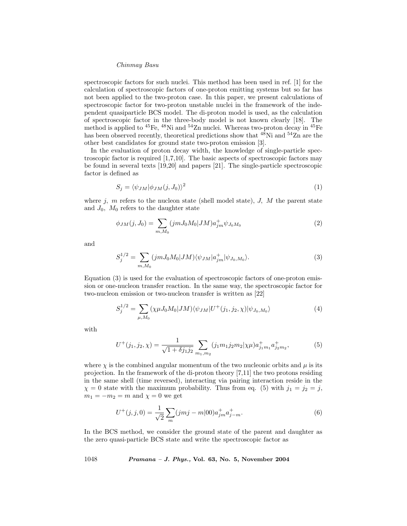#### Chinmay Basu

spectroscopic factors for such nuclei. This method has been used in ref. [1] for the calculation of spectroscopic factors of one-proton emitting systems but so far has not been applied to the two-proton case. In this paper, we present calculations of spectroscopic factor for two-proton unstable nuclei in the framework of the independent quasiparticle BCS model. The di-proton model is used, as the calculation of spectroscopic factor in the three-body model is not known clearly [18]. The method is applied to  $^{45}Fe$ ,  $^{48}Ni$  and  $^{54}Zn$  nuclei. Whereas two-proton decay in  $^{45}Fe$ has been observed recently, theoretical predictions show that  $48$ Ni and  $54$ Zn are the other best candidates for ground state two-proton emission [3].

In the evaluation of proton decay width, the knowledge of single-particle spectroscopic factor is required [1,7,10]. The basic aspects of spectroscopic factors may be found in several texts [19,20] and papers [21]. The single-particle spectroscopic factor is defined as

$$
S_j = \langle \psi_{JM} | \phi_{JM}(j, J_0) \rangle^2 \tag{1}
$$

where  $j$ ,  $m$  refers to the nucleon state (shell model state),  $J$ ,  $M$  the parent state and  $J_0$ ,  $M_0$  refers to the daughter state

$$
\phi_{JM}(j, J_0) = \sum_{m, M_0} (jm J_0 M_0 | J M) a_{jm}^+ \psi_{J_0 M_0}
$$
\n(2)

and

$$
S_j^{1/2} = \sum_{m,M_0} (jmJ_0M_0|JM) \langle \psi_{JM} | a_{jm}^+ | \psi_{J_0,M_0} \rangle.
$$
 (3)

Equation (3) is used for the evaluation of spectroscopic factors of one-proton emission or one-nucleon transfer reaction. In the same way, the spectroscopic factor for two-nucleon emission or two-nucleon transfer is written as [22]

$$
S_j^{1/2} = \sum_{\mu, M_0} (\chi \mu J_0 M_0 | J M) \langle \psi_{JM} | U^+(j_1, j_2, \chi) | \psi_{J_0, M_0} \rangle \tag{4}
$$

with

$$
U^+(j_1, j_2, \chi) = \frac{1}{\sqrt{1 + \delta j_1 j_2}} \sum_{m_1, m_2} (j_1 m_1 j_2 m_2 |\chi \mu) a^+_{j_1 m_1} a^+_{j_2 m_2},\tag{5}
$$

where  $\chi$  is the combined angular momentum of the two nucleonic orbits and  $\mu$  is its projection. In the framework of the di-proton theory [7,11] the two protons residing in the same shell (time reversed), interacting via pairing interaction reside in the  $\chi = 0$  state with the maximum probability. Thus from eq. (5) with  $j_1 = j_2 = j$ ,  $m_1 = -m_2 = m$  and  $\chi = 0$  we get

$$
U^+(j,j,0) = \frac{1}{\sqrt{2}} \sum_{m} (jmj - m|00) a_{jm}^+ a_{j-m}^+.
$$
 (6)

In the BCS method, we consider the ground state of the parent and daughter as the zero quasi-particle BCS state and write the spectroscopic factor as

1048 Pramana – J. Phys., Vol. 63, No. 5, November 2004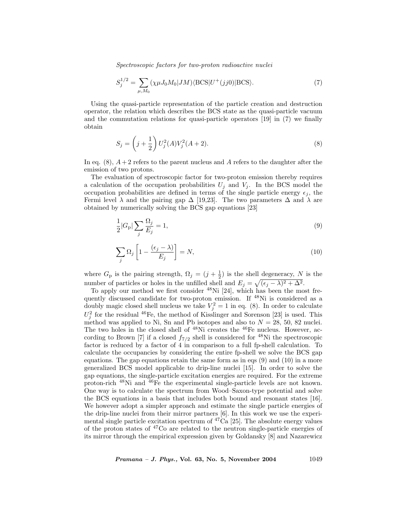Spectroscopic factors for two-proton radioactive nuclei

$$
S_j^{1/2} = \sum_{\mu,M_0} (\chi \mu J_0 M_0 | JM) \langle \text{BCS} | U^+(jj0) | \text{BCS} \rangle. \tag{7}
$$

Using the quasi-particle representation of the particle creation and destruction operator, the relation which describes the BCS state as the quasi-particle vacuum and the commutation relations for quasi-particle operators [19] in (7) we finally obtain

$$
S_j = \left(j + \frac{1}{2}\right) U_j^2(A) V_j^2(A+2).
$$
\n(8)

In eq.  $(8)$ ,  $A + 2$  refers to the parent nucleus and A refers to the daughter after the emission of two protons.

The evaluation of spectroscopic factor for two-proton emission thereby requires a calculation of the occupation probabilities  $U_j$  and  $V_j$ . In the BCS model the occupation probabilities are defined in terms of the single particle energy  $\epsilon_j$ , the Fermi level  $\lambda$  and the pairing gap  $\Delta$  [19,23]. The two parameters  $\Delta$  and  $\lambda$  are obtained by numerically solving the BCS gap equations [23]

$$
\frac{1}{2}|G_{\mathbf{p}}|\sum_{j}\frac{\Omega_{j}}{E_{j}}=1,
$$
\n(9)

$$
\sum_{j} \Omega_{j} \left[ 1 - \frac{(\epsilon_{j} - \lambda)}{E_{j}} \right] = N,\tag{10}
$$

where  $G_{\rm p}$  is the pairing strength,  $\Omega_j = (j + \frac{1}{2})$  is the shell degeneracy, N is the number of particles or holes in the unfilled shell and  $E_j = \sqrt{(\epsilon_j - \lambda)^2 + \Delta^2}$ .

To apply our method we first consider <sup>48</sup>Ni [24], which has been the most frequently discussed candidate for two-proton emission. If <sup>48</sup>Ni is considered as a doubly magic closed shell nucleus we take  $V_j^2 = 1$  in eq. (8). In order to calculate  $U_j^2$  for the residual <sup>46</sup>Fe, the method of Kisslinger and Sorenson [23] is used. This method was applied to Ni, Sn and Pb isotopes and also to  $N = 28, 50, 82$  nuclei. The two holes in the closed shell of <sup>48</sup>Ni creates the <sup>46</sup>Fe nucleus. However, according to Brown [7] if a closed  $f_{7/2}$  shell is considered for <sup>48</sup>Ni the spectroscopic factor is reduced by a factor of 4 in comparison to a full fp-shell calculation. To calculate the occupancies by considering the entire fp-shell we solve the BCS gap equations. The gap equations retain the same form as in eqs  $(9)$  and  $(10)$  in a more generalized BCS model applicable to drip-line nuclei [15]. In order to solve the gap equations, the single-particle excitation energies are required. For the extreme proton-rich <sup>48</sup>Ni and <sup>46</sup>Fe the experimental single-particle levels are not known. One way is to calculate the spectrum from Wood–Saxon-type potential and solve the BCS equations in a basis that includes both bound and resonant states [16]. We however adopt a simpler approach and estimate the single particle energies of the drip-line nuclei from their mirror partners [6]. In this work we use the experimental single particle excitation spectrum of  ${}^{47}Ca$  [25]. The absolute energy values of the proton states of <sup>47</sup>Co are related to the neutron single-particle energies of its mirror through the empirical expression given by Goldansky [8] and Nazarewicz

*Pramana – J. Phys.*, Vol. 63, No. 5, November 2004  $1049$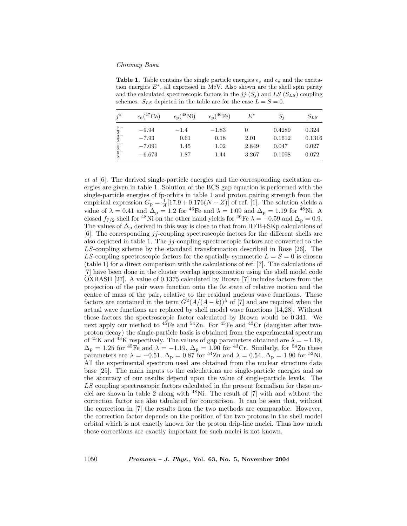### Chinmay Basu

**Table 1.** Table contains the single particle energies  $\epsilon_p$  and  $\epsilon_n$  and the excitation energies  $E^*$ , all expressed in MeV. Also shown are the shell spin parity and the calculated spectroscopic factors in the  $jj (S_j)$  and LS  $(S_{LS})$  coupling schemes.  $S_{LS}$  depicted in the table are for the case  $L = S = 0$ .

| $i^{\pi}$                       | $\epsilon_n({}^{47}\text{Ca})$ | $\epsilon_{\rm p}({}^{48}\text{Ni})$ | $\epsilon_{\rm p}({}^{46}\text{Fe})$ | $E^*$ | $S_i$  | $S_{LS}$ |
|---------------------------------|--------------------------------|--------------------------------------|--------------------------------------|-------|--------|----------|
|                                 | $-9.94$                        | $-1.4$                               | $-1.83$                              |       | 0.4289 | 0.324    |
| $\frac{7}{2} -$ $\frac{3}{2} -$ | $-7.93$                        | 0.61                                 | 0.18                                 | 2.01  | 0.1612 | 0.1316   |
| $1 -$                           | $-7.091$                       | 1.45                                 | 1.02                                 | 2.849 | 0.047  | 0.027    |
| $\frac{2}{5}$ –                 | $-6.673$                       | 1.87                                 | 1.44                                 | 3.267 | 0.1098 | 0.072    |

et al [6]. The derived single-particle energies and the corresponding excitation energies are given in table 1. Solution of the BCS gap equation is performed with the single-particle energies of fp-orbits in table 1 and proton pairing strength from the empirical expression  $G_p = \frac{1}{A} [17.9 + 0.176(N - Z)]$  of ref. [1]. The solution yields a value of  $\lambda = 0.41$  and  $\Delta_{\rm p} = 1.2$  for <sup>46</sup>Fe and  $\lambda = 1.09$  and  $\Delta_{\rm p} = 1.19$  for <sup>48</sup>Ni. A closed  $f_{7/2}$  shell for <sup>48</sup>Ni on the other hand yields for <sup>46</sup>Fe  $\lambda = -0.59$  and  $\Delta_p = 0.9$ . The values of  $\Delta_p$  derived in this way is close to that from HFB+SKp calculations of  $[6]$ . The corresponding jj-coupling spectroscopic factors for the different shells are also depicted in table 1. The  $jj$ -coupling spectroscopic factors are converted to the LS-coupling scheme by the standard transformation described in Rose [26]. The LS-coupling spectroscopic factors for the spatially symmetric  $L = S = 0$  is chosen (table 1) for a direct comparison with the calculations of ref. [7]. The calculations of [7] have been done in the cluster overlap approximation using the shell model code OXBASH [27]. A value of 0.1375 calculated by Brown [7] includes factors from the projection of the pair wave function onto the 0s state of relative motion and the centre of mass of the pair, relative to the residual nucleus wave functions. These factors are contained in the term  $G^2(A/(A-k))^{\lambda}$  of [7] and are required when the actual wave functions are replaced by shell model wave functions [14,28]. Without these factors the spectroscopic factor calculated by Brown would be 0.341. We next apply our method to  $^{45}Fe$  and  $^{54}Zn$ . For  $^{45}Fe$  and  $^{43}Cr$  (daughter after twoproton decay) the single-particle basis is obtained from the experimental spectrum of  ${}^{45}K$  and  ${}^{43}K$  respectively. The values of gap parameters obtained are  $\lambda = -1.18$ ,  $\Delta_{\rm p} = 1.25$  for <sup>45</sup>Fe and  $\lambda = -1.19$ ,  $\Delta_{\rm p} = 1.90$  for <sup>43</sup>Cr. Similarly, for <sup>54</sup>Zn these parameters are  $\lambda = -0.51$ ,  $\Delta_p = 0.87$  for <sup>54</sup>Zn and  $\lambda = 0.54$ ,  $\Delta_p = 1.90$  for <sup>52</sup>Ni. All the experimental spectrum used are obtained from the nuclear structure data base [25]. The main inputs to the calculations are single-particle energies and so the accuracy of our results depend upon the value of single-particle levels. The LS coupling spectroscopic factors calculated in the present formalism for these nuclei are shown in table 2 along with  $48$ Ni. The result of [7] with and without the correction factor are also tabulated for comparison. It can be seen that, without the correction in [7] the results from the two methods are comparable. However, the correction factor depends on the position of the two protons in the shell model orbital which is not exactly known for the proton drip-line nuclei. Thus how much these corrections are exactly important for such nuclei is not known.

1050 Pramana – J. Phys., Vol. 63, No. 5, November 2004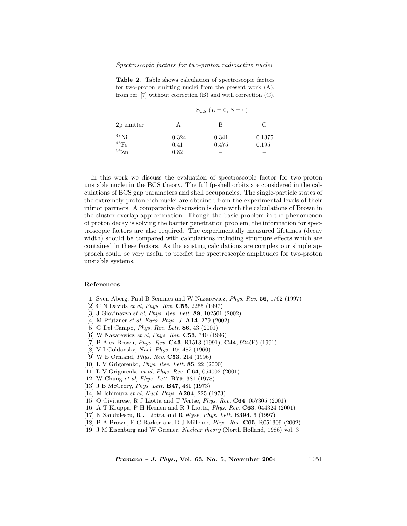Table 2. Table shows calculation of spectroscopic factors for two-proton emitting nuclei from the present work (A), from ref. [7] without correction (B) and with correction (C).

|                                                     | $S_{LS}$ $(L = 0, S = 0)$ |                |                 |  |  |
|-----------------------------------------------------|---------------------------|----------------|-----------------|--|--|
| 2p emitter                                          | А                         | В              | C               |  |  |
| $^{48}$ Ni<br>$^{45}\mathrm{Fe}$ $^{54}\mathrm{Zn}$ | 0.324<br>0.41             | 0.341<br>0.475 | 0.1375<br>0.195 |  |  |
|                                                     | 0.82                      |                |                 |  |  |

In this work we discuss the evaluation of spectroscopic factor for two-proton unstable nuclei in the BCS theory. The full fp-shell orbits are considered in the calculations of BCS gap parameters and shell occupancies. The single-particle states of the extremely proton-rich nuclei are obtained from the experimental levels of their mirror partners. A comparative discussion is done with the calculations of Brown in the cluster overlap approximation. Though the basic problem in the phenomenon of proton decay is solving the barrier penetration problem, the information for spectroscopic factors are also required. The experimentally measured lifetimes (decay width) should be compared with calculations including structure effects which are contained in these factors. As the existing calculations are complex our simple approach could be very useful to predict the spectroscopic amplitudes for two-proton unstable systems.

### References

- [1] Sven Aberg, Paul B Semmes and W Nazarewicz, Phys. Rev. 56, 1762 (1997)
- [2] C N Davids et al, Phys. Rev. C55, 2255 (1997)
- [3] J Giovinazzo et al, Phys. Rev. Lett. 89, 102501 (2002)
- [4] M Pfutzner et al, Euro. Phys. J. A14, 279 (2002)
- [5] G Del Campo, *Phys. Rev. Lett.* **86**, 43 (2001)
- [6] W Nazarewicz et al, Phys. Rev. C53, 740 (1996)
- [7] B Alex Brown, Phys. Rev. C43, R1513 (1991); C44, 924(E) (1991)
- [8] V I Goldansky, Nucl. Phys. 19, 482 (1960)
- [9] W E Ormand, Phys. Rev. C53, 214 (1996)
- [10] L V Grigorenko, Phys. Rev. Lett. 85, 22 (2000)
- [11] L V Grigorenko et al, Phys. Rev. C64, 054002 (2001)
- [12] W Chung et al, *Phys. Lett.* **B79**, 381 (1978)
- [13] J B McGrory, *Phys. Lett.* **B47**, 481 (1973)
- [14] M Ichimura et al, Nucl. Phys. **A204**, 225 (1973)
- [15] O Civitarese, R J Liotta and T Vertse, Phys. Rev. C64, 057305 (2001)
- [16] A T Kruppa, P H Heenen and R J Liotta, Phys. Rev. C63, 044324 (2001)
- [17] N Sandulescu, R J Liotta and R Wyss, *Phys. Lett.* **B394**, 6 (1997)
- [18] B A Brown, F C Barker and D J Millener, Phys. Rev. C65, R051309 (2002)
- [19] J M Eisenburg and W Griener, Nuclear theory (North Holland, 1986) vol. 3

*Pramana – J. Phys.*, Vol. 63, No. 5, November 2004  $1051$